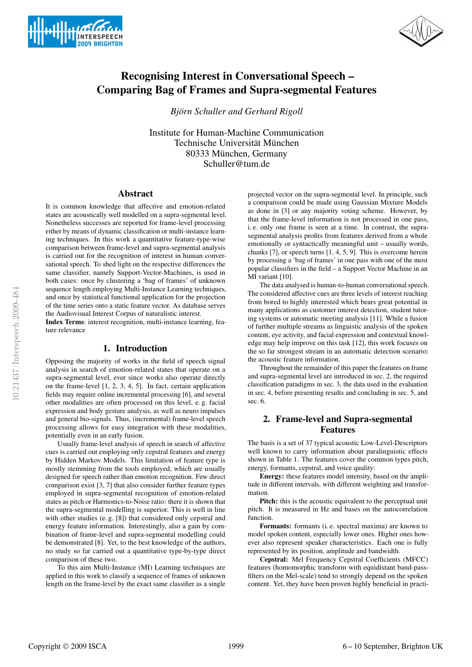



# Recognising Interest in Conversational Speech – Comparing Bag of Frames and Supra-segmental Features

*Bjorn Schuller and Gerhard Rigoll ¨*

Institute for Human-Machine Communication Technische Universität München 80333 München, Germany Schuller@tum.de

## Abstract

It is common knowledge that affective and emotion-related states are acoustically well modelled on a supra-segmental level. Nonetheless successes are reported for frame-level processing either by means of dynamic classification or multi-instance learning techniques. In this work a quantitative feature-type-wise comparison between frame-level and supra-segmental analysis is carried out for the recognition of interest in human conversational speech. To shed light on the respective differences the same classifier, namely Support-Vector-Machines, is used in both cases: once by clustering a 'bag of frames' of unknown sequence length employing Multi-Instance Learning techniques, and once by statistical functional application for the projection of the time series onto a static feature vector. As database serves the Audiovisual Interest Corpus of naturalistic interest.

Index Terms: interest recognition, multi-instance learning, feature relevance

## 1. Introduction

Opposing the majority of works in the field of speech signal analysis in search of emotion-related states that operate on a supra-segmental level, ever since works also operate directly on the frame-level [1, 2, 3, 4, 5]. In fact, certain application fields may require online incremental processing [6], and several other modalities are often processed on this level, e. g. facial expression and body gesture analysis, as well as neuro impulses and general bio-signals. Thus, (incremental) frame-level speech processing allows for easy integration with these modalities, potentially even in an early fusion.

Usually frame-level analysis of speech in search of affective cues is carried out employing only cepstral features and energy by Hidden Markov Models. This limitation of feature type is mostly stemming from the tools employed, which are usually designed for speech rather than emotion recognition. Few direct comparison exist [3, 7] that also consider further feature types employed in supra-segmental recognition of emotion-related states as pitch or Harmonics-to-Noise ratio: there it is shown that the supra-segmental modelling is superior. This is well in line with other studies (e. g. [8]) that considered only cepstral and energy feature information. Interestingly, also a gain by combination of frame-level and supra-segmental modelling could be demonstrated [8]. Yet, to the best knowledge of the authors, no study so far carried out a quantitative type-by-type direct comparison of these two.

To this aim Multi-Instance (MI) Learning techniques are applied in this work to classify a sequence of frames of unknown length on the frame-level by the exact same classifier as a single projected vector on the supra-segmental level. In principle, such a comparison could be made using Gaussian Mixture Models as done in [3] or any majority voting scheme. However, by that the frame-level information is not processed in one pass, i. e. only one frame is seen at a time. In contrast, the suprasegmental analysis profits from features derived from a whole emotionally or syntactically meaningful unit – usually words, chunks [7], or speech turns [1, 4, 5, 9]. This is overcome herein by processing a 'bag of frames' in one pass with one of the most popular classifiers in the field – a Support Vector Machine in an MI variant [10].

The data analysed is human-to-human conversational speech. The considered affective cues are three levels of interest reaching from bored to highly interested which bears great potential in many applications as customer interest detection, student tutoring systems or automatic meeting analysis [11]. While a fusion of further multiple streams as linguistic analysis of the spoken content, eye activity, and facial expression and contextual knowledge may help improve on this task [12], this work focuses on the so far strongest stream in an automatic detection scenario: the acoustic feature information.

Throughout the remainder of this paper the features on frame and supra-segmental level are introduced in sec. 2, the required classification paradigms in sec. 3, the data used in the evaluation in sec. 4, before presenting results and concluding in sec. 5, and sec. 6.

# 2. Frame-level and Supra-segmental Features

The basis is a set of 37 typical acoustic Low-Level-Descriptors well known to carry information about paralinguistic effects shown in Table 1. The features cover the common types pitch, energy, formants, cepstral, and voice quality:

Energy: these features model intensity, based on the amplitude in different intervals, with different weighting and transformation

Pitch: this is the acoustic equivalent to the perceptual unit pitch. It is measured in Hz and bases on the autocorrelation function.

Formants: formants (i. e. spectral maxima) are known to model spoken content, especially lower ones. Higher ones however also represent speaker characteristics. Each one is fully represented by its position, amplitude and bandwidth.

Cepstral: Mel Frequency Cepstral Coefficients (MFCC) features (homomorphic transform with equidistant band-passfilters on the Mel-scale) tend to strongly depend on the spoken content. Yet, they have been proven highly beneficial in practi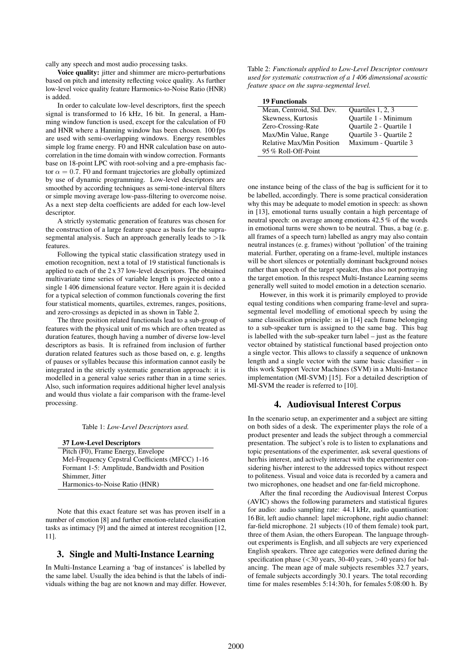cally any speech and most audio processing tasks.

Voice quality: jitter and shimmer are micro-perturbations based on pitch and intensity reflecting voice quality. As further low-level voice quality feature Harmonics-to-Noise Ratio (HNR) is added.

In order to calculate low-level descriptors, first the speech signal is transformed to 16 kHz, 16 bit. In general, a Hamming window function is used, except for the calculation of F0 and HNR where a Hanning window has been chosen. 100 fps are used with semi-overlapping windows. Energy resembles simple log frame energy. F0 and HNR calculation base on autocorrelation in the time domain with window correction. Formants base on 18-point LPC with root-solving and a pre-emphasis factor  $\alpha = 0.7$ . F0 and formant trajectories are globally optimized by use of dynamic programming. Low-level descriptors are smoothed by according techniques as semi-tone-interval filters or simple moving average low-pass-filtering to overcome noise. As a next step delta coefficients are added for each low-level descriptor.

A strictly systematic generation of features was chosen for the construction of a large feature space as basis for the suprasegmental analysis. Such an approach generally leads to  $>1$ k features.

Following the typical static classification strategy used in emotion recognition, next a total of 19 statistical functionals is applied to each of the 2 x 37 low-level descriptors. The obtained multivariate time series of variable length is projected onto a single 1 406 dimensional feature vector. Here again it is decided for a typical selection of common functionals covering the first four statistical moments, quartiles, extremes, ranges, positions, and zero-crossings as depicted in as shown in Table 2.

The three position related functionals lead to a sub-group of features with the physical unit of ms which are often treated as duration features, though having a number of diverse low-level descriptors as basis. It is refrained from inclusion of further duration related features such as those based on, e. g. lengths of pauses or syllables because this information cannot easily be integrated in the strictly systematic generation approach: it is modelled in a general value series rather than in a time series. Also, such information requires additional higher level analysis and would thus violate a fair comparison with the frame-level processing.

Table 1: *Low-Level Descriptors used.*

| <b>37 Low-Level Descriptors</b>                 |
|-------------------------------------------------|
| Pitch (F0), Frame Energy, Envelope              |
| Mel-Frequency Cepstral Coefficients (MFCC) 1-16 |
| Formant 1-5: Amplitude, Bandwidth and Position  |
| Shimmer, Jitter                                 |
| Harmonics-to-Noise Ratio (HNR)                  |

Note that this exact feature set was has proven itself in a number of emotion [8] and further emotion-related classification tasks as intimacy [9] and the aimed at interest recognition [12, 11].

#### 3. Single and Multi-Instance Learning

In Multi-Instance Learning a 'bag of instances' is labelled by the same label. Usually the idea behind is that the labels of individuals withing the bag are not known and may differ. However,

Table 2: *Functionals applied to Low-Level Descriptor contours used for systematic construction of a 1 406 dimensional acoustic feature space on the supra-segmental level.*

| <b>19 Functionals</b> |  |
|-----------------------|--|
|-----------------------|--|

| Mean, Centroid, Std. Dev.        | Quartiles 1, 2, 3       |
|----------------------------------|-------------------------|
| Skewness, Kurtosis               | Quartile 1 - Minimum    |
| Zero-Crossing-Rate               | Quartile 2 - Quartile 1 |
| Max/Min Value, Range             | Quartile 3 - Quartile 2 |
| <b>Relative Max/Min Position</b> | Maximum - Quartile 3    |
| 95% Roll-Off-Point               |                         |

one instance being of the class of the bag is sufficient for it to be labelled, accordingly. There is some practical consideration why this may be adequate to model emotion in speech: as shown in [13], emotional turns usually contain a high percentage of neutral speech: on average among emotions 42.5 % of the words in emotional turns were shown to be neutral. Thus, a bag (e. g. all frames of a speech turn) labelled as angry may also contain neutral instances (e. g. frames) without 'pollution' of the training material. Further, operating on a frame-level, multiple instances will be short silences or potentially dominant background noises rather than speech of the target speaker, thus also not portraying the target emotion. In this respect Multi-Instance Learning seems generally well suited to model emotion in a detection scenario.

However, in this work it is primarily employed to provide equal testing conditions when comparing frame-level and suprasegmental level modelling of emotional speech by using the same classification principle: as in [14] each frame belonging to a sub-speaker turn is assigned to the same bag. This bag is labelled with the sub-speaker turn label – just as the feature vector obtained by statistical functional based projection onto a single vector. This allows to classify a sequence of unknown length and a single vector with the same basic classifier – in this work Support Vector Machines (SVM) in a Multi-Instance implementation (MI-SVM) [15]. For a detailed description of MI-SVM the reader is referred to [10].

#### 4. Audiovisual Interest Corpus

In the scenario setup, an experimenter and a subject are sitting on both sides of a desk. The experimenter plays the role of a product presenter and leads the subject through a commercial presentation. The subject's role is to listen to explanations and topic presentations of the experimenter, ask several questions of her/his interest, and actively interact with the experimenter considering his/her interest to the addressed topics without respect to politeness. Visual and voice data is recorded by a camera and two microphones, one headset and one far-field microphone.

After the final recording the Audiovisual Interest Corpus (AVIC) shows the following parameters and statistical figures for audio: audio sampling rate: 44.1 kHz, audio quantisation: 16 Bit, left audio channel: lapel microphone, right audio channel: far-field microphone. 21 subjects (10 of them female) took part, three of them Asian, the others European. The language throughout experiments is English, and all subjects are very experienced English speakers. Three age categories were defined during the specification phase (<30 years, 30-40 years, >40 years) for balancing. The mean age of male subjects resembles 32.7 years, of female subjects accordingly 30.1 years. The total recording time for males resembles 5:14:30 h, for females 5:08:00 h. By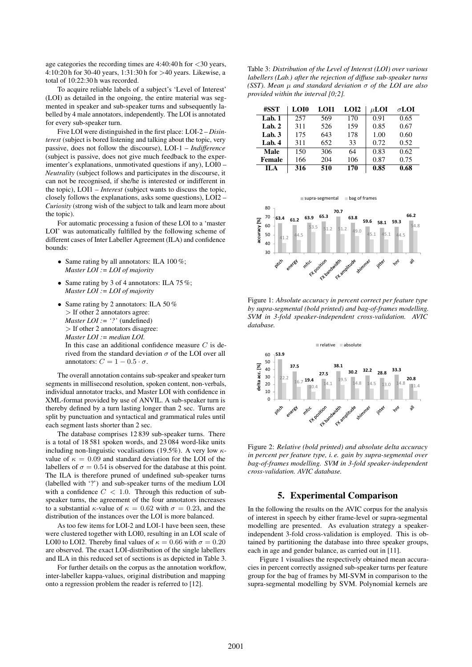age categories the recording times are  $4:40:40$  h for  $<30$  years, 4:10:20 h for 30-40 years, 1:31:30 h for >40 years. Likewise, a total of 10:22:30 h was recorded.

To acquire reliable labels of a subject's 'Level of Interest' (LOI) as detailed in the ongoing, the entire material was segmented in speaker and sub-speaker turns and subsequently labelled by 4 male annotators, independently. The LOI is annotated for every sub-speaker turn.

Five LOI were distinguished in the first place: LOI-2 – *Disinterest* (subject is bored listening and talking about the topic, very passive, does not follow the discourse), LOI-1 – *Indifference* (subject is passive, does not give much feedback to the experimenter's explanations, unmotivated questions if any), LOI0 – *Neutrality* (subject follows and participates in the discourse, it can not be recognised, if she/he is interested or indifferent in the topic), LOI1 – *Interest* (subject wants to discuss the topic, closely follows the explanations, asks some questions), LOI2 – *Curiosity* (strong wish of the subject to talk and learn more about the topic).

For automatic processing a fusion of these LOI to a 'master LOI' was automatically fulfilled by the following scheme of different cases of Inter Labeller Agreement (ILA) and confidence bounds:

- Same rating by all annotators: ILA 100%; *Master LOI := LOI of majority*
- Same rating by 3 of 4 annotators: ILA 75 %; *Master LOI := LOI of majority*
- Same rating by 2 annotators: ILA 50% > If other 2 annotators agree: *Master LOI := '?'* (undefined) > If other 2 annotators disagree: *Master LOI := median LOI.* In this case an additional confidence measure  $C$  is derived from the standard deviation  $\sigma$  of the LOI over all annotators:  $C = 1 - 0.5 \cdot \sigma$ .

The overall annotation contains sub-speaker and speaker turn segments in millisecond resolution, spoken content, non-verbals, individual annotator tracks, and Master LOI with confidence in XML-format provided by use of ANVIL. A sub-speaker turn is thereby defined by a turn lasting longer than 2 sec. Turns are split by punctuation and syntactical and grammatical rules until each segment lasts shorter than 2 sec.

The database comprises 12 839 sub-speaker turns. There is a total of 18 581 spoken words, and 23 084 word-like units including non-linguistic vocalisations (19.5%). A very low  $\kappa$ value of  $\kappa = 0.09$  and standard deviation for the LOI of the labellers of  $\sigma = 0.54$  is observed for the database at this point. The ILA is therefore pruned of undefined sub-speaker turns (labelled with '?') and sub-speaker turns of the medium LOI with a confidence  $C < 1.0$ . Through this reduction of subspeaker turns, the agreement of the four annotators increases to a substantial  $\kappa$ -value of  $\kappa = 0.62$  with  $\sigma = 0.23$ , and the distribution of the instances over the LOI is more balanced.

As too few items for LOI-2 and LOI-1 have been seen, these were clustered together with LOI0, resulting in an LOI scale of LOI0 to LOI2. Thereby final values of  $\kappa = 0.66$  with  $\sigma = 0.20$ are observed. The exact LOI-distribution of the single labellers and ILA in this reduced set of sections is as depicted in Table 3.

For further details on the corpus as the annotation workflow, inter-labeller kappa-values, original distribution and mapping onto a regression problem the reader is referred to [12].

Table 3: *Distribution of the Level of Interest (LOI) over various labellers (Lab.) after the rejection of diffuse sub-speaker turns (SST). Mean* µ *and standard deviation* σ *of the LOI are also provided within the interval [0;2].*

| #SST        | LOI0 | LOI1 | LOI2 | $\mu$ <b>LOI</b> | $\sigma$ LOI |
|-------------|------|------|------|------------------|--------------|
| Lab. $1$    | 257  | 569  | 170  | 0.91             | 0.65         |
| Lab. $2$    | 311  | 526  | 159  | 0.85             | 0.67         |
| Lab. $3$    | 175  | 643  | 178  | 1.00             | 0.60         |
| Lab. $4$    | 311  | 652  | 33   | 0.72             | 0.52         |
| <b>Male</b> | 150  | 306  | 64   | 0.83             | 0.62         |
| Female      | 166  | 204  | 106  | 0.87             | 0.75         |
| II.A        | 316  | 510  | 170  | 0.85             | 0.68         |



Figure 1: *Absolute accuracy in percent correct per feature type by supra-segmental (bold printed) and bag-of-frames modelling. SVM in 3-fold speaker-independent cross-validation. AVIC database.*



Figure 2: *Relative (bold printed) and absolute delta accuracy in percent per feature type, i. e. gain by supra-segmental over bag-of-frames modelling. SVM in 3-fold speaker-independent cross-validation. AVIC database.*

#### 5. Experimental Comparison

In the following the results on the AVIC corpus for the analysis of interest in speech by either frame-level or supra-segmental modelling are presented. As evaluation strategy a speakerindependent 3-fold cross-validation is employed. This is obtained by partitioning the database into three speaker groups, each in age and gender balance, as carried out in [11].

Figure 1 visualises the respectively obtained mean accuracies in percent correctly assigned sub-speaker turns per feature group for the bag of frames by MI-SVM in comparison to the supra-segmental modelling by SVM. Polynomial kernels are